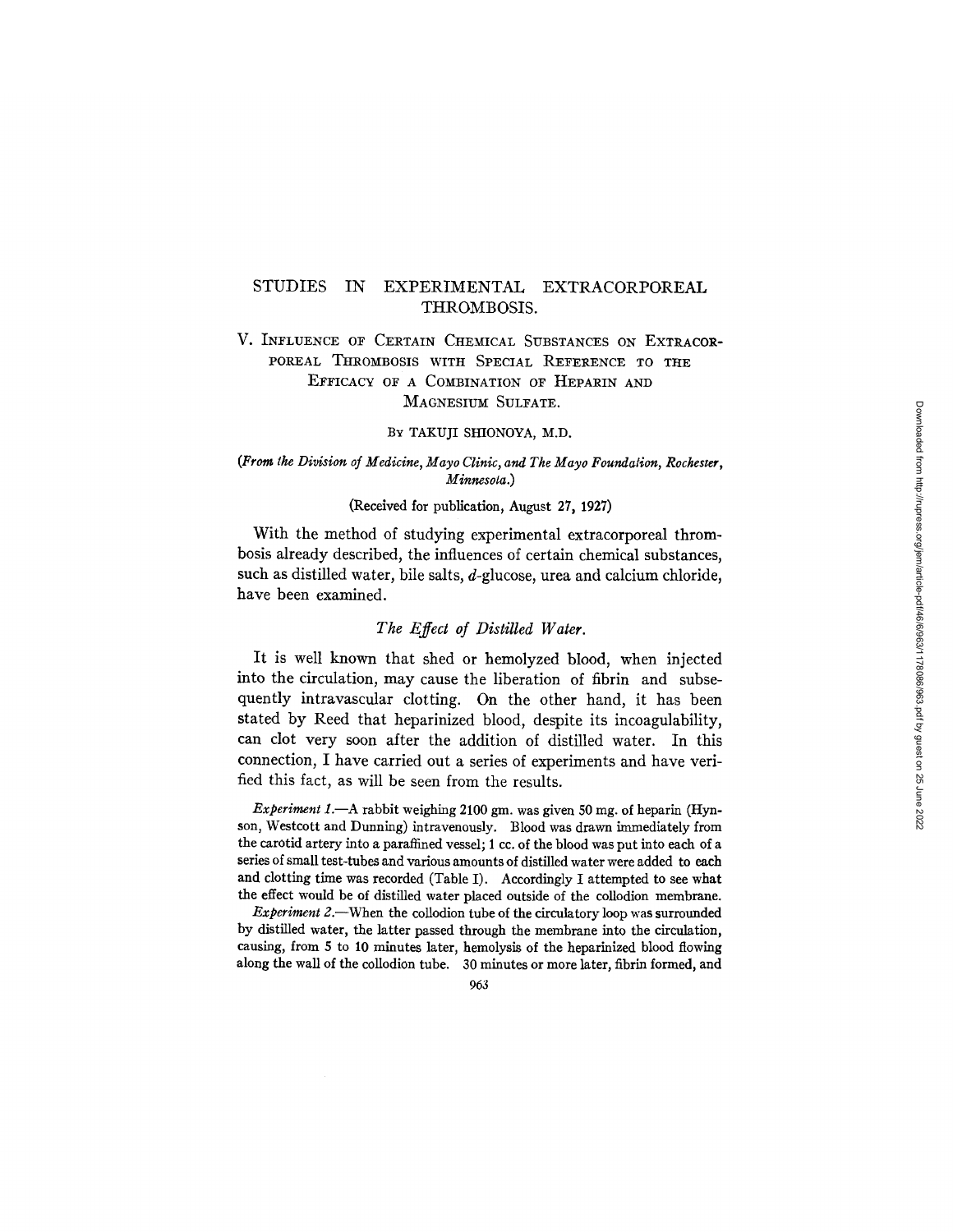# STUDIES IN EXPERIMENTAL EXTRACORPOREAL THROMBOSIS.

# V. INFLUENCE OF CERTAIN CHEMICAL SUBSTANCES ON EXTRACOR-POREAL THROMBOSIS WITH SPECIAL REFERENCE TO THE EFFICACY OF A COMBINATION OF HEPARIN AND MAGNESIUM SULFATE.

#### BY TAKUJI SHIONOYA, M.D.

# *(From the Division of Medicine, Mayo Clinic, and The Mayo Foundation, Rochester, Minnesota.)*

#### (Received for publication, August 27, 1927)

With the method of studying experimental extracorporeal thrombosis already described, the influences of certain chemical substances, such as distilled water, bile salts, d-glucose, urea and calcium chloride, have been examined.

### *The Effect of Distilled Water.*

It is well known that shed or hemolyzed blood, when injected into the circulation, may cause the liberation of fibrin and subsequently intravascular clotting. On the other hand, it has been stated by Reed that heparinized blood, despite its incoagulability, can clot very soon after the addition of distilled water. In this connection, I have carried out a series of experiments and have verified this fact, as will be seen from the results.

*Experiment 1.--A* rabbit weighing 2100 gm. was given 50 mg. of heparin (Hynson, Westcott and Dunning) intravenously. Blood was drawn immediately from the carotid artery into a paraffined vessel; 1 cc. of the blood was put into each of a series of small test-tubes and various amounts of distilled water were added to each and clotting time was recorded (Table I). Accordingly I attempted to see what the effect would be of distilled water placed outside of the collodion membrane.

*Experiment 2.*-When the collodion tube of the circulatory loop was surrounded by distilled water, the latter passed through the membrane into the circulation, causing, from 5 to 10 minutes later, hemolysis of the heparinized blood flowing along the wall of the collodion tube. 30 minutes or more later, fibrin formed, and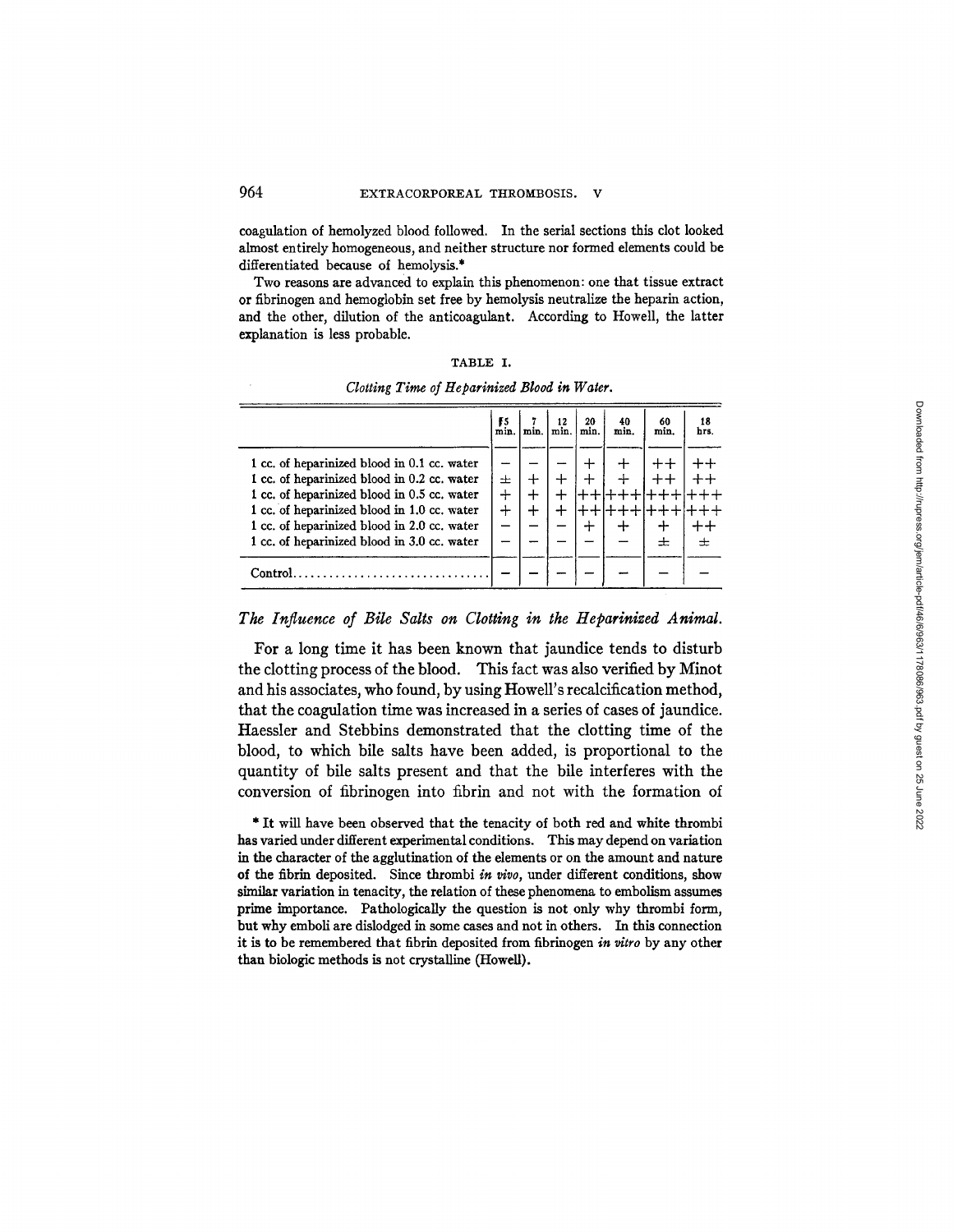coagulation of hemolyzed blood followed. In the serial sections this clot looked almost entirely homogeneous, and neither structure nor formed elements could be differentiated because of hemolysis.\*

Two reasons are advanced to explain this phenomenon: one that tissue extract or fibrinogen and hemoglobin set free by hemolysis neutralize the heparin action, and the other, dilution of the anticoagulant. According to Howell, the latter explanation is less probable.

| TABLE |  |
|-------|--|
|       |  |
|       |  |

*Clotting Time of Heparinized Blood in Water.* 

|                                             | f5<br>min. | min. | 12<br>min. | 20<br>min. | 40<br>min. | 60<br>min. | 18<br>hrs. |
|---------------------------------------------|------------|------|------------|------------|------------|------------|------------|
| 1 cc. of heparinized blood in 0.1 cc. water |            |      |            |            |            |            |            |
| 1 cc. of heparinized blood in 0.2 cc. water | ±          |      |            |            |            |            |            |
| 1 cc. of heparinized blood in 0.5 cc. water |            |      |            |            |            |            |            |
| 1 cc. of heparinized blood in 1.0 cc. water |            |      |            |            |            |            |            |
| 1 cc. of heparinized blood in 2.0 cc. water |            |      |            |            |            |            |            |
| 1 cc. of heparinized blood in 3.0 cc. water |            |      |            |            |            | ᆂ          |            |
| Control                                     |            |      |            |            |            |            |            |

# *The Influence of Bile Salts on Clotting in the Heparinized Animal.*

For a long time it has been known that jaundice tends to disturb the clotting process of the blood. This fact was also verified by Minot and his associates, who found, by using Howell's recalcification method, that the coagulation time was increased in a series of cases of jaundice. Haessler and Stebbins demonstrated that the clotting time of the blood, to which bile salts have been added, is proportional to the quantity of bile salts present and that the bile interferes with the conversion of fibrinogen into fibrin and not with the formation of

\* It will have been observed that the tenacity of both red and white thrombi has varied under different experimental conditions. This may depend on variation in the character of the agglutination of the elements or on the amount and nature of the fibrin deposited. Since thrombi in vivo, under different conditions, show similar variation in tenacity, the relation of these phenomena to embolism assumes prime importance. Pathologically the question is not only why thrombi form, but why emboli are dislodged in some cases and not in others. In this connection it is to be remembered that fibrin deposited from fibrinogen in vitro by any other than biologic methods is not crystalline (Howell).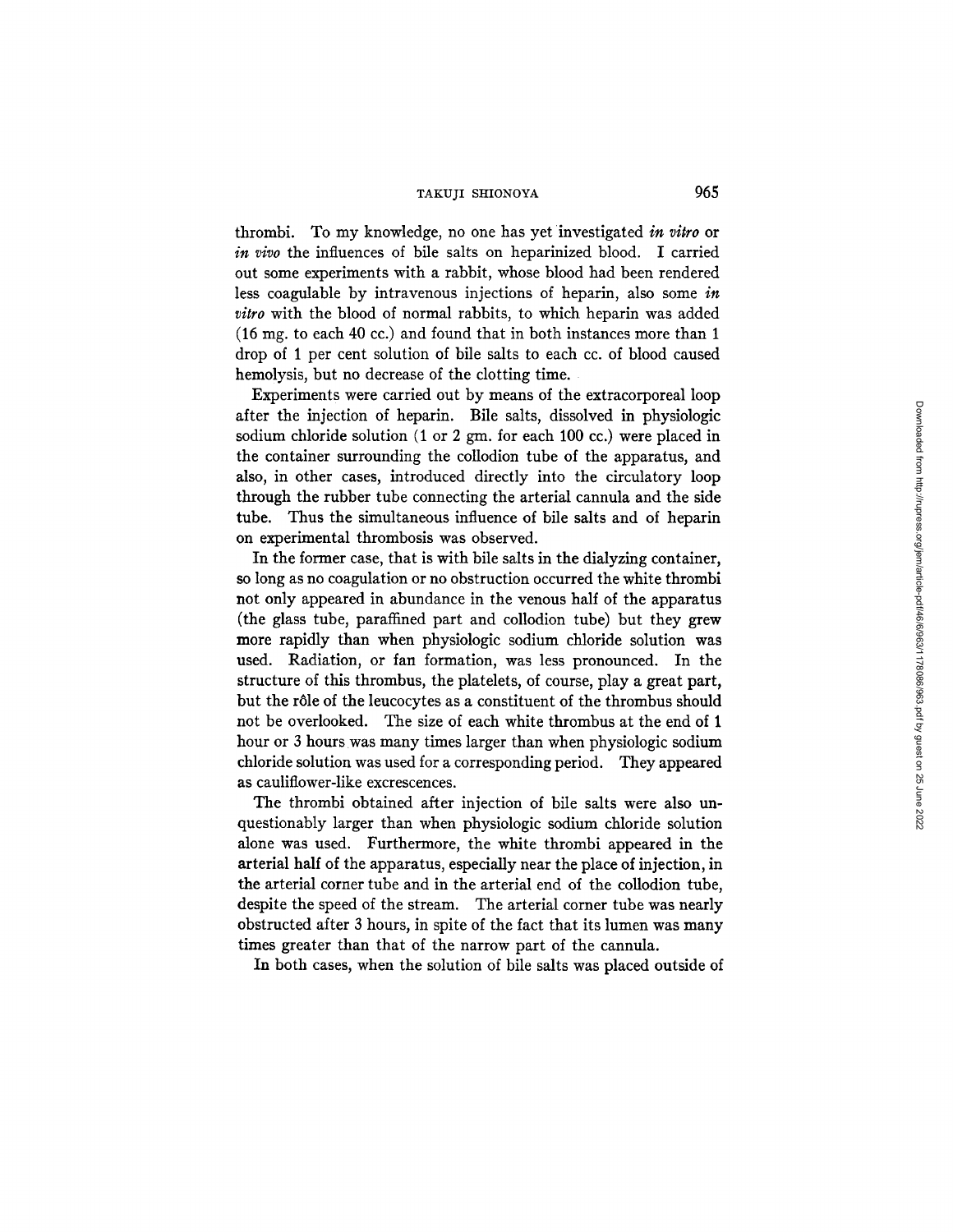thrombi. To my knowledge, no one has yet investigated *in vitro* or *in vivo* the influences of bile salts on heparinized blood. I carried out some experiments with a rabbit, whose blood had been rendered less coagulable by intravenous injections of heparin, also some *in vitro* with the blood of normal rabbits, to which heparin was added  $(16 \text{ mg. to each } 40 \text{ cc.})$  and found that in both instances more than 1 drop of 1 per cent solution of bile salts to each cc. of blood caused hemolysis, but no decrease of the clotting time.

Experiments were carried out by means of the extracorporeal loop after the injection of heparin. Bile salts, dissolved in physiologic sodium chloride solution  $(1 or 2 gm)$ . for each  $100$  cc.) were placed in the container surrounding the collodion tube of the apparatus, and also, in other cases, introduced directly into the circulatory loop through the rubber tube connecting the arterial cannula and the side tube. Thus the simultaneous influence of bile salts and of heparin on experimental thrombosis was observed.

In the former case, that is with bile salts in the dialyzing container, so long as no coagulation or no obstruction occurred the white thrombi not only appeared in abundance in the venous half of the apparatus (the glass tube, paraffined part and collodion tube) but they grew more rapidly than when physiologic sodium chloride solution was used. Radiation, or fan formation, was less pronounced. In the structure of this thrombus, the platelets, of course, play a great part, but the r61e of the leucocytes as a constituent of the thrombus should not be overlooked. The size of each white thrombus at the end of 1 hour or 3 hours was many times larger than when physiologic sodium chloride solution was used for a corresponding period. They appeared as cauliflower-like excrescences.

The thrombi obtained after injection of bile salts were also unquestionably larger than when physiologic sodium chloride solution alone was used. Furthermore, the white thrombi appeared in the arterial half of the apparatus, especially near the place of injection, in the arterial corner tube and in the arterial end of the collodion tube, despite the speed of the stream. The arterial corner tube was nearly obstructed after 3 hours, in spite of the fact that its lumen was many times greater than that of the narrow part of the cannula.

In both cases, when the solution of bile salts was placed outside of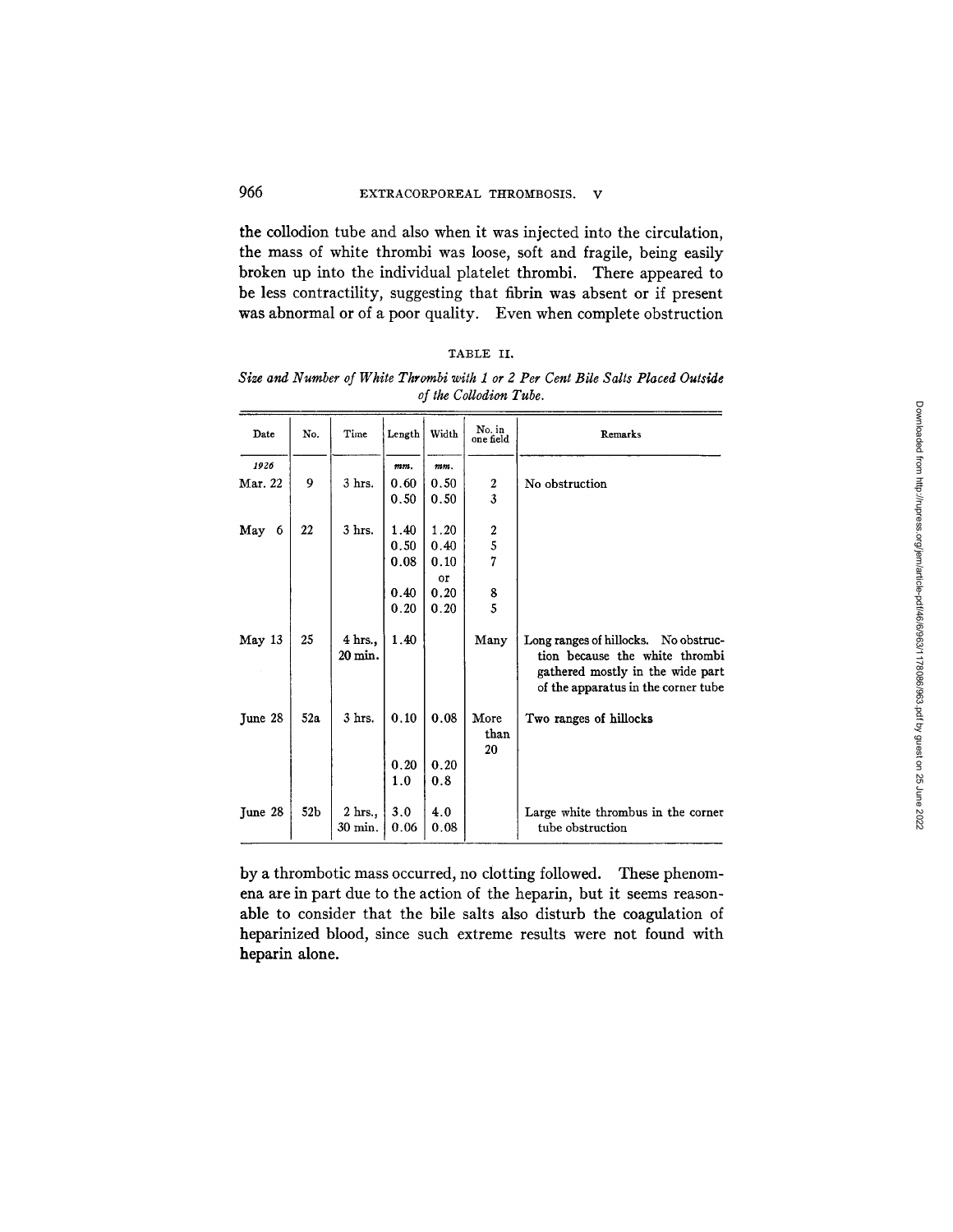the collodion tube and also when it was injected into the circulation, the mass of white thrombi was loose, soft and fragile, being easily broken up into the individual platelet thrombi. There appeared to be less contractility, suggesting that fibrin was absent or if present was abnormal or of a poor quality. Even when complete obstruction

|--|--|

*Size and Number of White Thrombi with 1 or 2 Per Cent Bile Salts Placed Outside of the Collodion Tube.* 

| Date    | No.             | Time               | Length      | Width       | No. in<br>one field                        | Remarks                                                                                                                                           |
|---------|-----------------|--------------------|-------------|-------------|--------------------------------------------|---------------------------------------------------------------------------------------------------------------------------------------------------|
| 1926    |                 |                    | mm.         | mm.         |                                            |                                                                                                                                                   |
| Mar. 22 | 9               | 3 hrs.             | 0.60        | 0.50        | $\boldsymbol{2}$                           | No obstruction                                                                                                                                    |
|         |                 |                    | 0.50        | 0.50        | $\overline{3}$                             |                                                                                                                                                   |
| May 6   | 22              | 3 hrs.             | 1.40        | 1.20        |                                            |                                                                                                                                                   |
|         |                 |                    | 0.50        | 0.40        | $\begin{array}{c} 2 \\ 5 \\ 7 \end{array}$ |                                                                                                                                                   |
|         |                 |                    | 0.08        | 0.10        |                                            |                                                                                                                                                   |
|         |                 |                    |             | or          |                                            |                                                                                                                                                   |
|         |                 |                    | 0.40        | 0.20        | 8                                          |                                                                                                                                                   |
|         |                 |                    | 0.20        | 0.20        | $\overline{5}$                             |                                                                                                                                                   |
| May 13  | 25              | 4 hrs.,<br>20 min. | 1.40        |             | Many                                       | Long ranges of hillocks. No obstruc-<br>tion because the white thrombi<br>gathered mostly in the wide part<br>of the apparatus in the corner tube |
| June 28 | 52a             | 3 hrs.             | 0.10        | 0.08        | More<br>than<br>20                         | Two ranges of hillocks                                                                                                                            |
|         |                 |                    | 0.20        | 0.20        |                                            |                                                                                                                                                   |
|         |                 |                    | 1.0         | 0.8         |                                            |                                                                                                                                                   |
| June 28 | 52 <sub>b</sub> | 2 hrs.,<br>30 min. | 3.0<br>0.06 | 4.0<br>0.08 |                                            | Large white thrombus in the corner<br>tube obstruction                                                                                            |

by a thrombotic mass occurred, no clotting followed. These phenomena are in part due to the action of the heparin, but it seems reasonable to consider that the bile salts also disturb the coagulation of heparinized blood, since such extreme results were not found with heparin alone.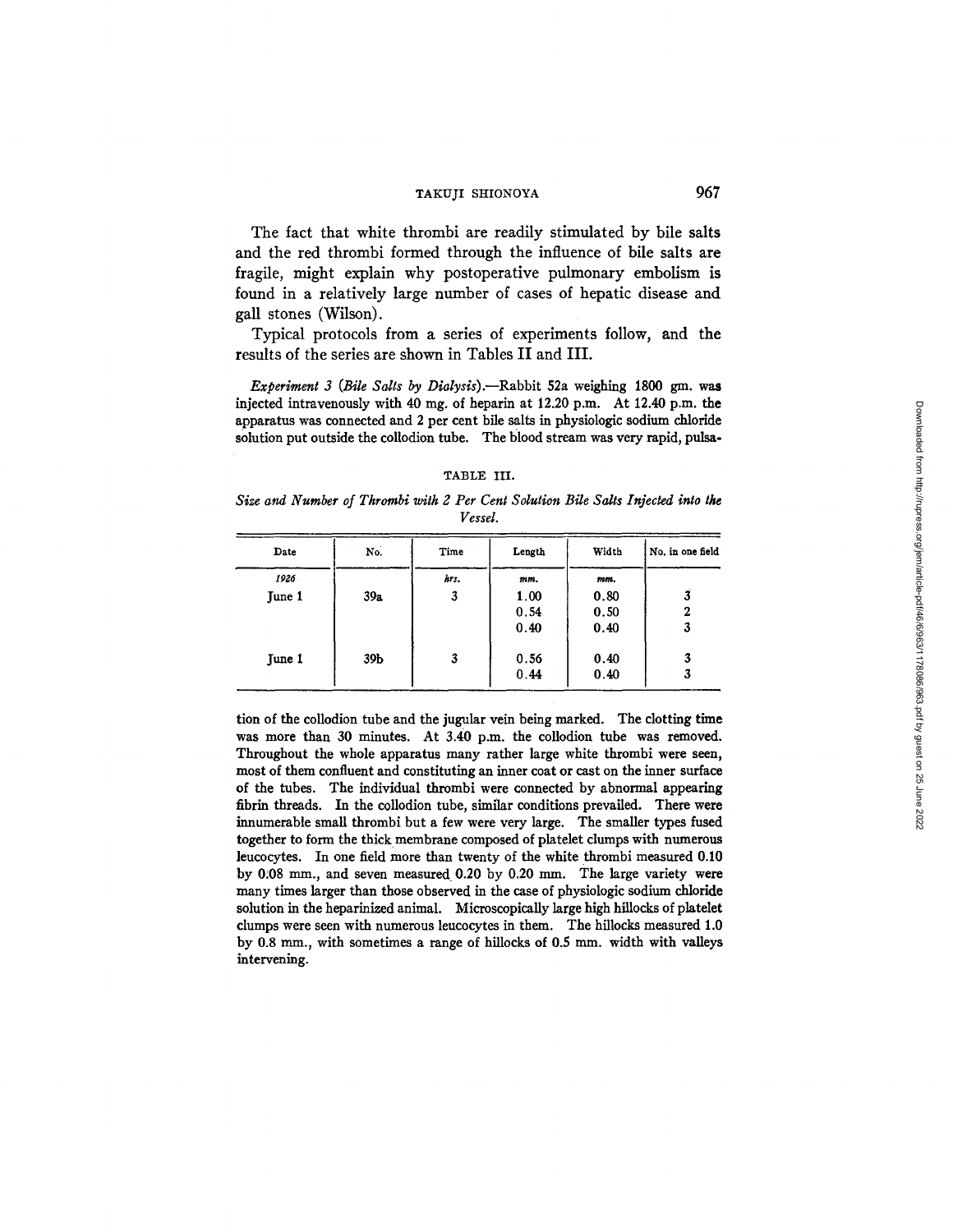The fact that white thrombi are readily stimulated by bile salts and the red thrombi formed through the influence of bile salts are fragile, might explain why postoperative pulmonary embolism is found in a relatively large number of cases of hepatic disease and gall stones (Wilson).

Typical protocols from a series of experiments follow, and the results of the series are shown in Tables II and III.

*Experiment 3 (Bile Salts by Dialysis).*--Rabbit 52a weighing 1800 gm. was injected intravenously with 40 mg. of heparin at 12.20 p.m. At 12.40 p.m. the apparatus was connected and 2 per cent bile salts in physiologic sodium chloride solution put outside the collodion tube. The blood stream was very rapid, pulsa-

| R1<br>г |  |
|---------|--|
|---------|--|

*Size and Number of Thrombi with 2 Per Cent Solution Bile Salts Injected into the Vessel.* 

| Date   | No. | Time | Length | Width | No. in one field |
|--------|-----|------|--------|-------|------------------|
| 1926   |     | hrs. | mm.    | mm.   |                  |
| Tune 1 | 39a | 3    | 1,00   | 0.80  | 3                |
|        |     |      | 0.54   | 0.50  | 2                |
|        |     |      | 0.40   | 0.40  | 3                |
| June 1 | 39b | 3    | 0.56   | 0.40  | 3                |
|        |     |      | 0.44   | 0.40  | 3                |

tion of the collodion tube and the jugular vein being marked. The clotting time was more than 30 minutes. At 3.40 p.m. the collodion tube was removed. Throughout the whole apparatus many rather large white thrombi were seen, most of them confluent and constituting an inner coat or cast on the inner surface of the tubes. The individual thrombi were connected by abnormal appearing fibrin threads. In the collodion tube, similar conditions prevailed. There were innumerable small thrombi but a few were very large. The smaller types fused together to form the thick membrane composed of platelet clumps with numerous leucocytes. In one field more than twenty of the white thrombi measured 0.10 by 0.08 mm., and seven measured 0.20 by 0.20 mm. The large variety were many times larger than those observed in the case of physiologic sodium chloride solution in the heparinized animal. Microscopically large high hillocks of platelet clumps were seen with numerous leucocytes in them. The hillocks measured 1.0 by 0.8 mm., with sometimes a range of hillocks of 0.5 mm. width with valleys intervening.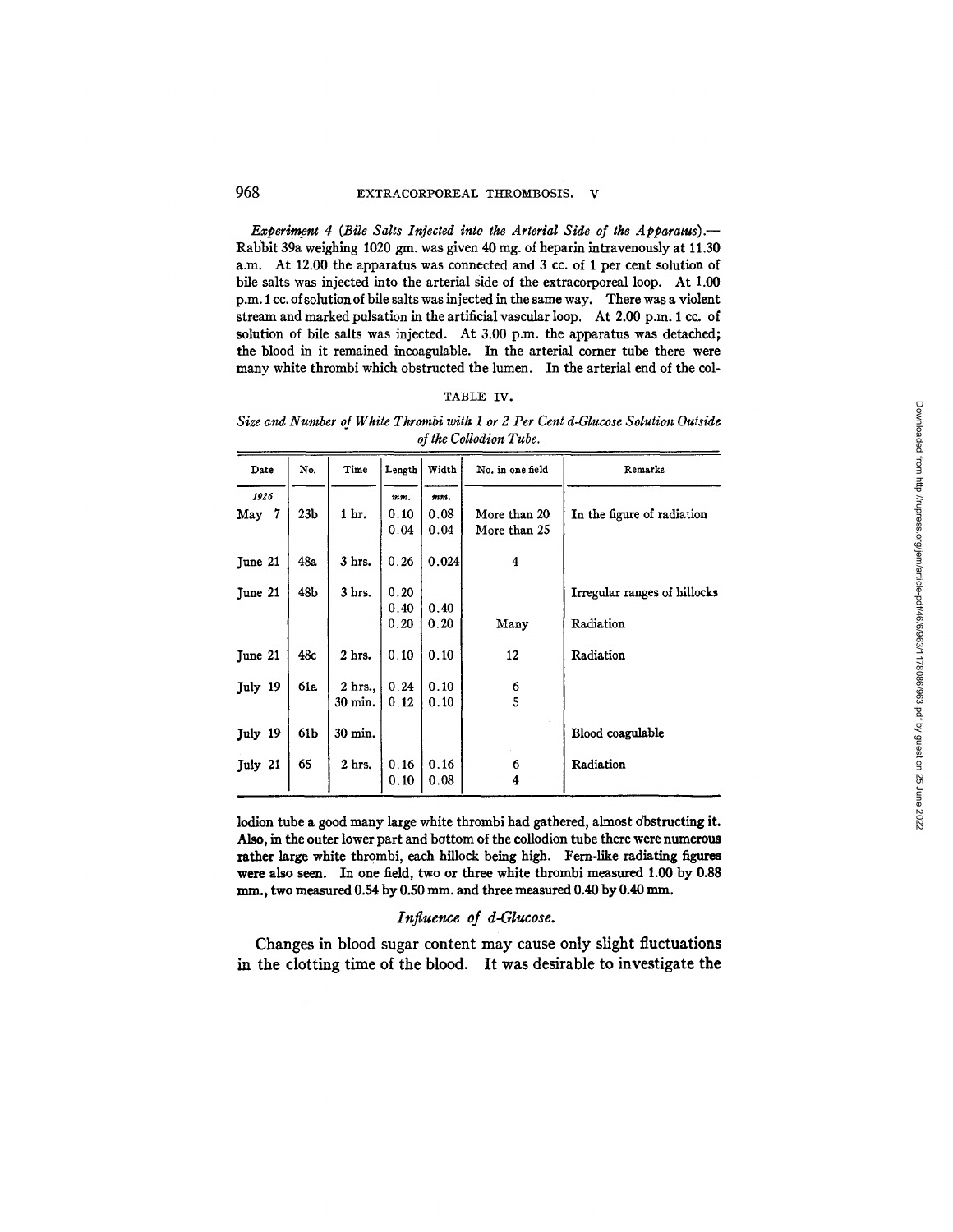*Experiment 4 (Bile Salts Injected into the Arterial Side of the Apparatus).* Rabbit 39a weighing 1020 gm. was given 40 mg. of heparin intravenously at 11.30 a.m. At 12.00 the apparatus was connected and 3 cc. of 1 per cent solution of bile salts was injected into the arterial side of the extracorporeal loop. At 1.00 p.m. 1 cc. of solution of bile salts was injected in the same way. There was a violent stream and marked pulsation in the artificial vascular loop. At 2.00 p.m. 1 cc. of solution of bile salts was injected. At 3.00 p.m. the apparatus was detached; the blood in it remained incoagulable. In the arterial corner tube there were many white thrombi which obstructed the lumen. In the arterial end of the col-

#### TABLE IV.

*Size and Number of White Thrombi with I or 2 Per Cent d-Glucose Solution Outside of the Collodion Tube.* 

| Date    | No.             | Time              | Length | Width | No. in one field | Remarks                      |
|---------|-----------------|-------------------|--------|-------|------------------|------------------------------|
| 1926    |                 |                   | mm.    | mm.   |                  |                              |
| May 7   | 23 <sub>b</sub> | 1 hr.             | 0.10   | 0.08  | More than 20     | In the figure of radiation   |
|         |                 |                   | 0.04   | 0.04  | More than 25     |                              |
| June 21 | 48a             | 3 hrs.            | 0.26   | 0.024 | 4                |                              |
| June 21 | 48b             | 3 hrs.            | 0.20   |       |                  | Irregular ranges of hillocks |
|         |                 |                   | 0.40   | 0.40  |                  |                              |
|         |                 |                   | 0.20   | 0.20  | Many             | Radiation                    |
| June 21 | 48с             | 2 hrs.            | 0.10   | 0.10  | 12               | Radiation                    |
| July 19 | 61a             | 2 hrs.,           | 0.24   | 0.10  | 6                |                              |
|         |                 | 30 min.           | 0.12   | 0.10  | 5                |                              |
| July 19 | 61b             | 30 min.           |        |       |                  | Blood coagulable             |
| July 21 | 65              | 2 <sub>hrs.</sub> | 0.16   | 0.16  | 6                | Radiation                    |
|         |                 |                   | 0.10   | 0.08  | 4                |                              |

lodion tube a good many large white thrombi had gathered, almost obstructing it. Also, in the outer lower part and bottom of the collodion tube there were numerous rather large white thrombi, each hillock being high. Fern-like radiating figures were also seen. In one field, two or three white thrombi measured 1.00 by 0.88 mm., two measured 0.54 by 0.50 mm. and three measured 0.40 by 0.40 mm.

### *Influence of d-Glucose.*

Changes in blood sugar content may cause only slight fluctuations in the dotting time of the blood. It was desirable to investigate the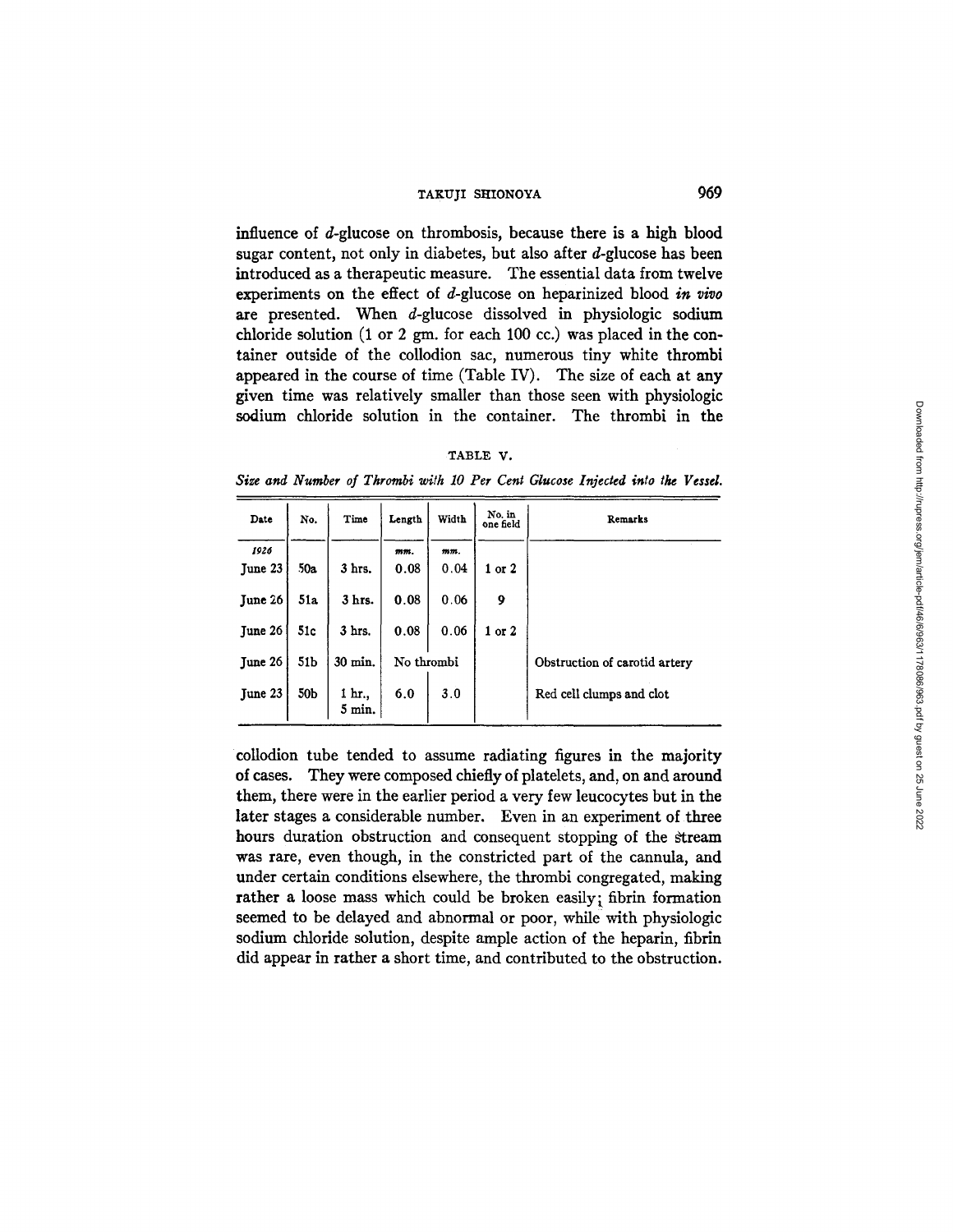influence of d-glucose on thrombosis, because there is a high blood sugar content, not only in diabetes, but also after  $d$ -glucose has been introduced as a therapeutic measure. The essential data from twelve experiments on the effect of d-glucose on heparinized blood *in viva*  are presented. When d-glucose dissolved in physiologic sodium chloride solution (1 or 2 gm. for each 100 cc.) was placed in the container outside of the collodion sac, numerous tiny white thrombi appeared in the course of time (Table IV). The size of each at any given time was relatively smaller than those seen with physiologic sodium chloride solution in the container. The thrombi in the

#### TABLE V.

|  |  | Size and Number of Thrombi with 10 Per Cent Glucose Injected into the Vessel. |  |  |  |  |  |
|--|--|-------------------------------------------------------------------------------|--|--|--|--|--|
|  |  |                                                                               |  |  |  |  |  |

| Date    | No.             | Time               | Length     | Width | No. in<br>one field | Remarks                       |
|---------|-----------------|--------------------|------------|-------|---------------------|-------------------------------|
| 1926    |                 |                    | mm.        | m m.  |                     |                               |
| June 23 | 50a             | 3 hrs.             | 0.08       | 0.04  | $1$ or $2$          |                               |
| June 26 | 51a             | 3 hrs.             | 0.08       | 0.06  | 9                   |                               |
| June 26 | 51c             | $3h$ rs.           | 0.08       | 0.06  | $1$ or $2$          |                               |
| June 26 | 51 <sub>b</sub> | 30 min.            | No thrombi |       |                     | Obstruction of carotid artery |
| June 23 | 50 <sub>b</sub> | 1 hr.,<br>$5$ min. | 6.0        | 3.0   |                     | Red cell clumps and clot      |

collodion tube tended to assume radiating figures in the majority of cases. They were composed chiefly of platelets, and, on and around them, there were in the earlier period a very few leucocytes but in the later stages a considerable number. Even in an experiment of three hours duration obstruction and consequent stopping of the stream was rare, even though, in the constricted part of the cannula, and under certain conditions elsewhere, the thrombi congregated, making rather a loose mass which could be broken easily; fibrin formation seemed to be delayed and abnormal or poor, while with physiologic sodium chloride solution, despite ample action of the heparin, fibrin did appear in rather a short time, and contributed to the obstruction.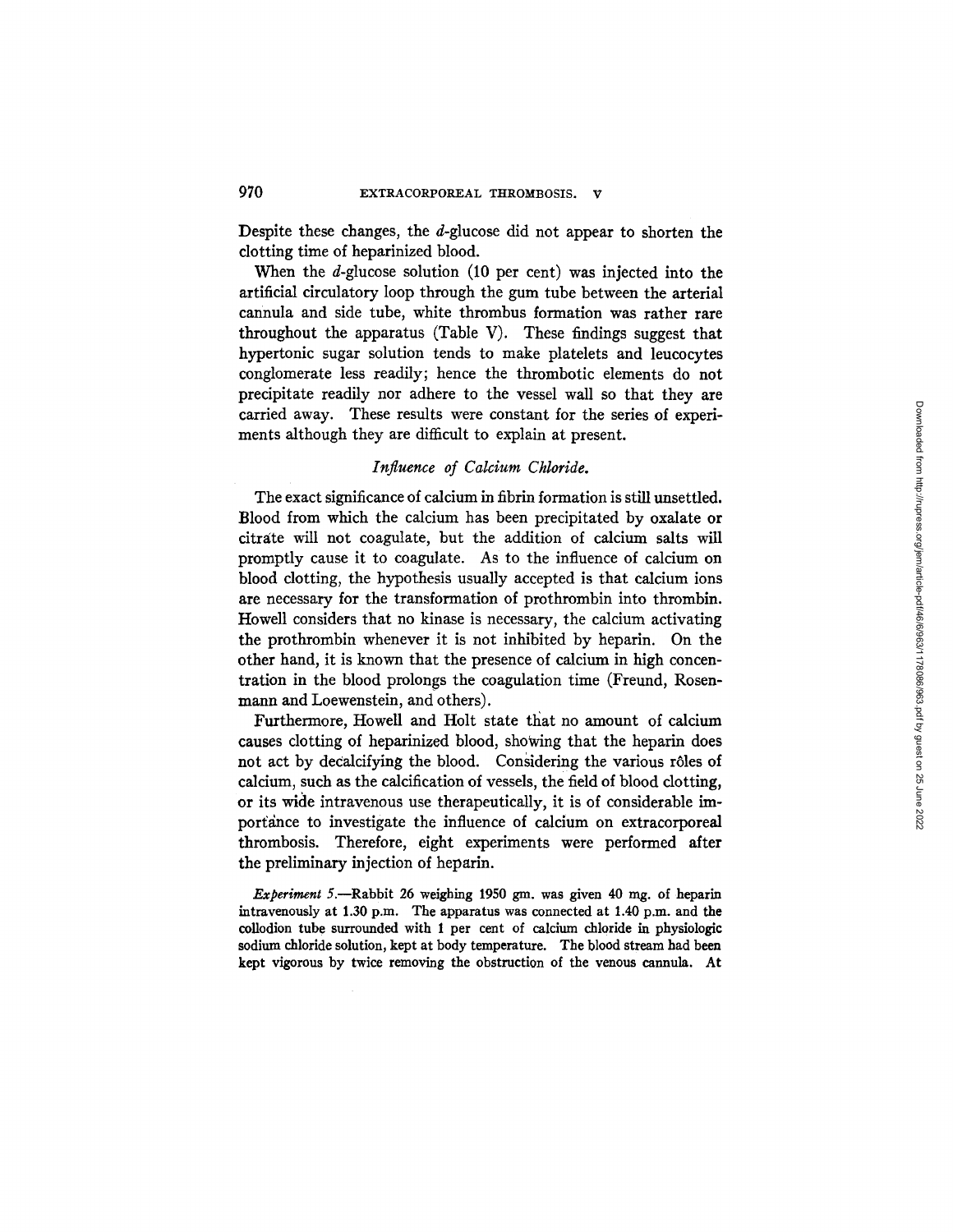Despite these changes, the d-glucose did not appear to shorten the dotting time of heparinized blood.

When the d-glucose solution  $(10 \text{ per cent})$  was injected into the artificial circulatory loop through the gum tube between the arterial cannula and side tube, white thrombus formation was rather rare throughout the apparatus (Table V). These findings suggest that hypertonic sugar solution tends to make platelets and leucocytes conglomerate less readily; hence the thrombotic elements do not precipitate readily nor adhere to the vessel wall so that they are carried away. These results were constant for the series of experiments although they are difficult to explain at present.

# *Influence of Calcium Chloride.*

The exact significance of calcium in fibrin formation is still unsettled. Blood from which the calcium has been precipitated by oxalate or citrate will not coagulate, but the addition of calcium salts will promptly cause it to coagulate. As to the influence of calcium on blood dotting, the hypothesis usually accepted is that calcium ions are necessary for the transformation of prothrombin into thrombin. Howell considers that no kinase is necessary, the calcium activating the prothrombin whenever it is not inhibited by heparin. On the other hand, it is known that the presence of calcium in high concentration in the blood prolongs the coagulation time (Freund, Rosenmann and Loewenstein, and others).

Furthermore, Howell and Holt state that no amount of calcium causes dotting of heparinized blood, showing that the heparin does not act by decalcifying the blood. Considering the various r61es of calcium, such as the calcification of vessels, the field of blood clotting, or its wide intravenous use therapeutically, it is of considerable imporfance to investigate the influence of calcium on extracorporeal thrombosis. Therefore, eight experiments were performed after the preliminary injection of heparin.

*Experiment 5.*—Rabbit 26 weighing 1950 gm. was given 40 mg. of heparin intravenously at 1.30 p.m. The apparatus was connected at 1.40 p.m. and the collodion tube surrounded with 1 per cent of calcium chloride in physiologic sodium chloride solution, kept at body temperature. The blood stream had been kept vigorous by twice removing the obstruction of the venous cannula. At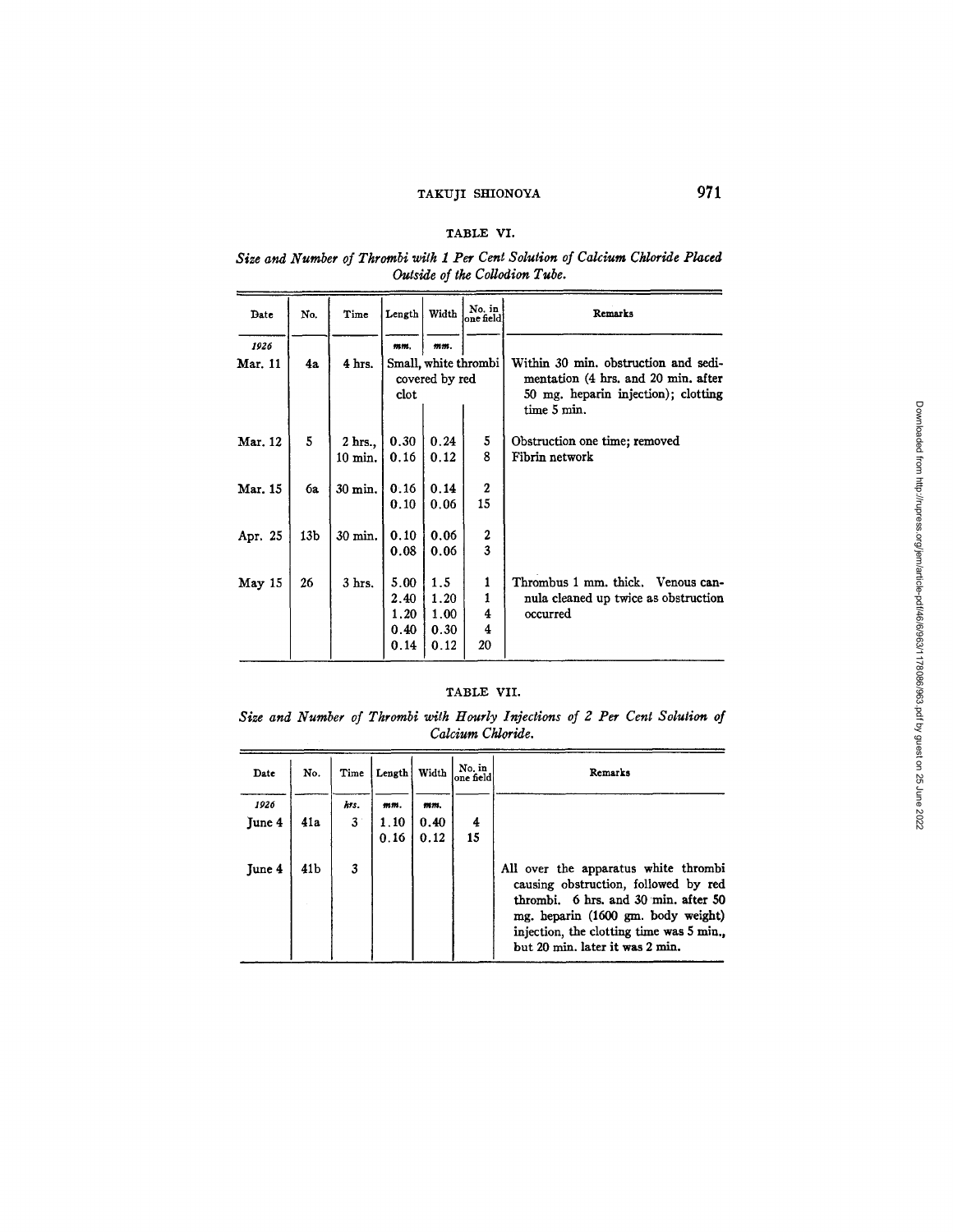# TABLE VI.

# *Size and Number of Thrombi with 1 Per Cent Solution of Calcium Chloride Placed Outside of the Collodion Tube.*

| Date    | No. | Time                         | Length                               | Width                                  | No. in<br>one fieldi                        | <b>Remarks</b>                                                                                                                    |
|---------|-----|------------------------------|--------------------------------------|----------------------------------------|---------------------------------------------|-----------------------------------------------------------------------------------------------------------------------------------|
| 1926    |     |                              | mm.                                  | <b>mm.</b>                             |                                             |                                                                                                                                   |
| Mar. 11 | 4а  | 4 <sub>hrs.</sub>            | clot                                 | Small, white thrombi<br>covered by red |                                             | Within 30 min, obstruction and sedi-<br>mentation (4 hrs. and 20 min. after<br>50 mg, heparin injection); clotting<br>time 5 min. |
| Mar. 12 | 5   | 2 hrs.,<br>$10 \text{ min.}$ | 0.30<br>0.16                         | 0.24<br>0.12                           | 5<br>8                                      | Obstruction one time; removed<br>Fibrin network                                                                                   |
| Mar. 15 | 6a  | 30 min.                      | 0.16<br>0.10                         | 0.14<br>0.06                           | 2<br>15                                     |                                                                                                                                   |
| Apr. 25 | 13b | 30 min.                      | 0.10<br>0.08                         | 0.06<br>0.06                           | $\boldsymbol{2}$<br>$\overline{\mathbf{3}}$ |                                                                                                                                   |
| May 15  | 26  | 3 <sub>hrs.</sub>            | 5.00<br>2.40<br>1.20<br>0.40<br>0.14 | 1.5<br>1.20<br>1.00<br>0.30<br>0.12    | 1<br>$\mathbf{1}$<br>4<br>4<br>20           | Thrombus 1 mm. thick. Venous can-<br>nula cleaned up twice as obstruction<br>occurred                                             |

## TABLE VII.

*Size and Number of Thrombi with Hourly Injections of 2 Per Cent Solution of Calcium Chloride.* 

| Date   | No.  | Time | Length  | Width | No. in<br>one field | Remarks                                                                                                                                                                                                                                  |
|--------|------|------|---------|-------|---------------------|------------------------------------------------------------------------------------------------------------------------------------------------------------------------------------------------------------------------------------------|
| 1926   |      | hrs. | $m m$ . | mm.   |                     |                                                                                                                                                                                                                                          |
| June 4 | 41a  | 3    | 1.10    | 0.40  | 4                   |                                                                                                                                                                                                                                          |
|        |      |      | 0.16    | 0.12  | 15                  |                                                                                                                                                                                                                                          |
| June 4 | 41 b | 3    |         |       |                     | All over the apparatus white thrombi<br>causing obstruction, followed by red<br>thrombi. 6 hrs. and 30 min. after 50<br>mg. heparin (1600 gm. body weight)<br>injection, the clotting time was 5 min.<br>but 20 min. later it was 2 min. |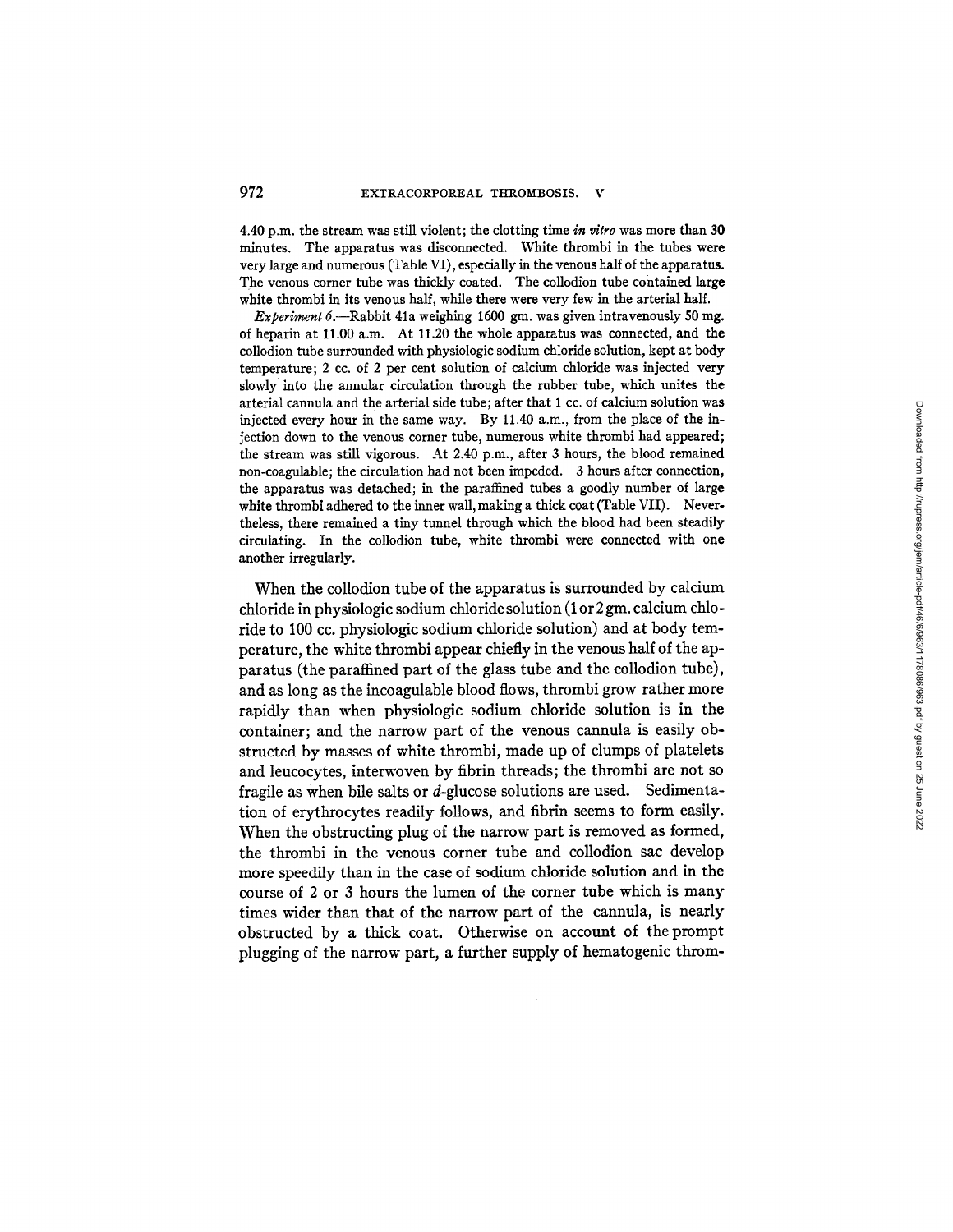4.40 p.m. the stream was still violent; the clotting time *in vitro* was more than 30 minutes. The apparatus was disconnected. White thrombi in the tubes were very large and numerous (Table VI), especially in the venous half of the apparatus. The venous corner tube was thickly coated. The collodion tube cohtained large white thrombi in its venous half, while there were very few in the arterial half.

*Experiment 6*. - Rabbit 41a weighing 1600 gm. was given intravenously 50 mg. of heparin at 11.00 a.m. At 11.20 the whole apparatus was connected, and the collodion tube surrounded with physiologic sodium chloride solution, kept at body temperature; 2 cc. of 2 per cent solution of calcium chloride was injected very slowly into the annular circulation through the rubber tube, which unites the arterial eannula and the arterial side tube; after that 1 cc. of calcium solution was injected every hour in the same way. By 11.40 a.m., from the place of the injection down to the venous corner tube, numerous white thrombi had appeared; the stream was still vigorous. At 2.40 p.m., after 3 hours, the blood remained non-coagulable; the circulation had not been impeded. 3 hours after connection, the apparatus was detached; in the paraffined tubes a goodly number of large white thrombi adhered to the inner wall, making a thick coat (Table VII). Nevertheless, there remained a tiny tunnel through which the blood had been steadily circulating. In the collodion tube, white thrombi were connected with one another irregularly.

When the collodion tube of the apparatus is surrounded by calcium chloride in physiologic sodium chloride solution  $(1 or 2 gm)$ . calcium chloride to 100 cc. physiologic sodium chloride solution) and at body temperature, the white thrombi appear chiefly in the venous half of the apparatus (the paraffined part of the glass tube and the collodion tube), and as long as the incoagulable blood flows, thrombi grow rather more rapidly than when physiologic sodium chloride solution is in the container; and the narrow part of the venous cannula is easily obstructed by masses of white thrombi, made up of clumps of platelets and leucocytes, interwoven by fibrin threads; the thrombi are not so fragile as when bile salts or  $d$ -glucose solutions are used. Sedimentation of erythrocytes readily follows, and fibrin seems to form easily. When the obstructing plug of the narrow part is removed as formed, the thrombi in the venous corner tube and collodion sac develop more speedily than in the case of sodium chloride solution and in the course of 2 or 3 hours the lumen of the corner tube which is many times wider than that of the narrow part of the cannula, is nearly obstructed by a thick coat. Otherwise on account of the prompt plugging of the narrow part, a further supply of hematogenic throm-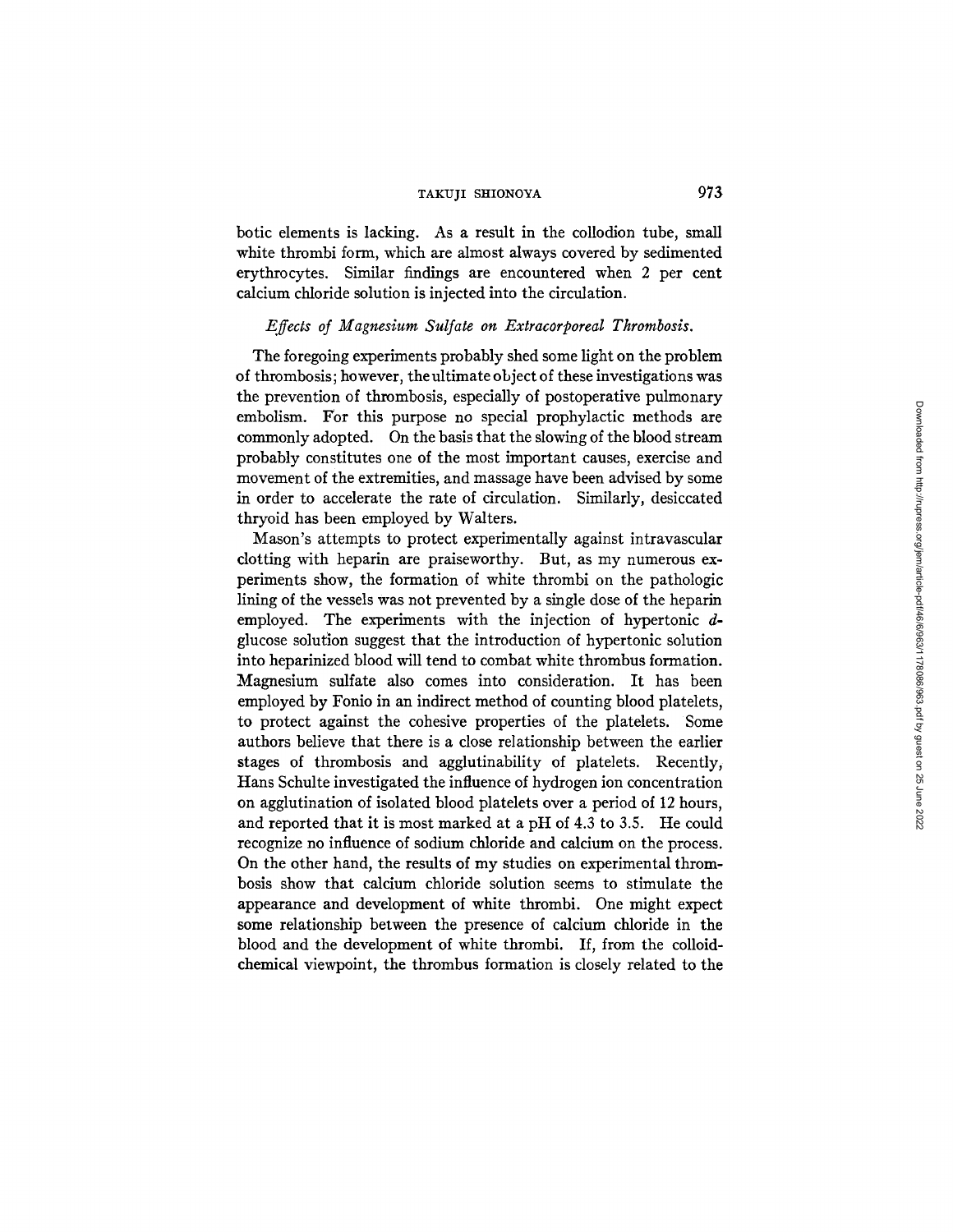botic elements is lacking. As a result in the collodion tube, small white thrombi form, which are almost always covered by sedimented erythrocytes. Similar findings are encountered when 2 per cent calcium chloride solution is injected into the circulation.

## *Effects of Magnesium Sulfate on Extracorporeal Thrombosis.*

The foregoing experiments probably shed some light on the problem of thrombosis; however, the ultimate object of these investigations was the prevention of thrombosis, especially of postoperative pulmonary embolism. For this purpose no special prophylactic methods are commonly adopted. On the basis that the slowing of the blood stream probably constitutes one of the most important causes, exercise and movement of the extremities, and massage have been advised by some in order to accelerate the rate of circulation. Similarly, desiccated thryoid has been employed by Walters.

Mason's attempts to protect experimentally against intravascular dotting with heparin are praiseworthy. But, as my numerous experiments show, the formation of white thrombi on the pathologic lining of the vessels was not prevented by a single dose of the heparin employed. The experiments with the injection of hypertonic dglucose solution suggest that the introduction of hypertonic solution into heparinized blood will tend to combat white thrombus formation. Magnesium sulfate also comes into consideration. It has been employed by Fonio in an indirect method of counting blood platelets, to protect against the cohesive properties of the platelets. Some authors believe that there is a close relationship between the earlier stages of thrombosis and agglutinability of platelets. Recently, Hans Schulte investigated the influence of hydrogen ion concentration on agglutination of isolated blood platelets over a period of 12 hours, and reported that it is most marked at a pH of 4.3 to 3.5. He could recognize no influence of sodium chloride and calcium on the process. On the other hand, the results of my studies on experimental thrombosis show that calcium chloride solution seems to stimulate the appearance and development of white thrombi. One might expect some relationship between the presence of calcium chloride in the blood and the development of white thrombi. If, from the colloidchemical viewpoint, the thrombus formation is closely related to the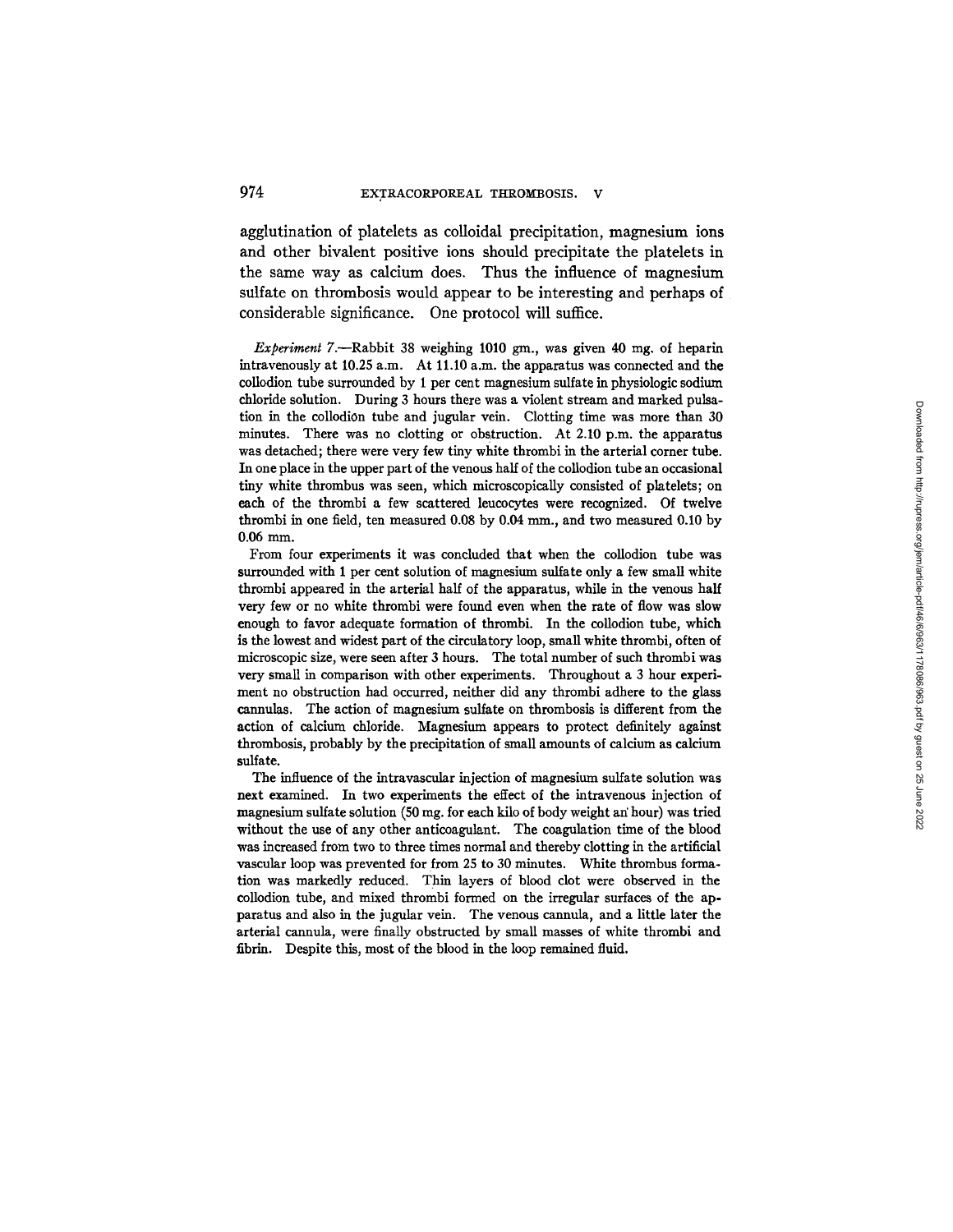agglutination of platelets as colloidal precipitation, magnesium ions and other bivalent positive ions should precipitate the platelets in the same way as calcium does. Thus the influence of magnesium sulfate on thrombosis would appear to be interesting and perhaps of considerable significance. One protocol will suffice.

*Experiment 7.*—Rabbit 38 weighing 1010 gm., was given 40 mg. of heparin intravenously at 10.25 a.m. At 11.10 a.m. the apparatus was connected and the collodion tube surrounded by 1 per cent magnesium sulfate in physiologic sodium chloride solution. During 3 hours there was a violent stream and marked pulsation in the collodion tube and jugular vein. Clotting time was more than 30 minutes. There was no clotting or obstruction. At 2.10 p.m. the apparatus was detached; there were very few tiny white thrombi in the arterial corner tube. In one place in the upper part of the venous half of the collodion tube an occasional tiny white thrombus was seen, which microscopically consisted of platelets; on each of the thrombi a few scattered leucocytes were recognized. Of twelve thrombi in one field, ten measured 0.08 by 0.04 mm., and two measured 0.10 by 0.06 mm.

From four experiments it was concluded that when the collodion tube was surrounded with 1 per cent solution of magnesium sulfate only a few small white thrombi appeared in the arterial half of the apparatus, while in the venous half very few or no white thrombi were found even when the rate of flow was slow enough to favor adequate formation of thrombi. In the collodion tube, which is the lowest and widest part of the circulatory loop, small white thrombi, often of microscopic size, were seen after 3 hours. The total number of such thrombi was very small in comparison with other experiments. Throughout a 3 hour experiment no obstruction had occurred, neither did any thrombi adhere to the glass cannulas. The action of magnesium sulfate on thrombosis is different from the action of calcium chloride. Magnesium appears to protect definitely against thrombosis, probably by the precipitation of small amounts of calcium as calcium sulfate.

The influence of the intravascular injection of magnesium sulfate solution was next examined. In two experiments the effect of the intravenous injection of magnesium sulfate solution  $(50 \text{ mg.}$  for each kilo of body weight an hour) was tried without the use of any other anticoagulant. The coagulation time of the blood was increased from two to three times normal and thereby clotting in the artificial vascular loop was prevented for from 25 to 30 minutes. White thrombus formation was markedly reduced. Thin layers of blood clot were observed in the collodion tube, and mixed thrombi formed on the irregular surfaces of the apparatus and also in the jugular vein. The venous cannula, and a little later the arterial cannula, were finally obstructed by small masses of white thrombi and fibrin. Despite this, most of the blood in the loop remained fluid.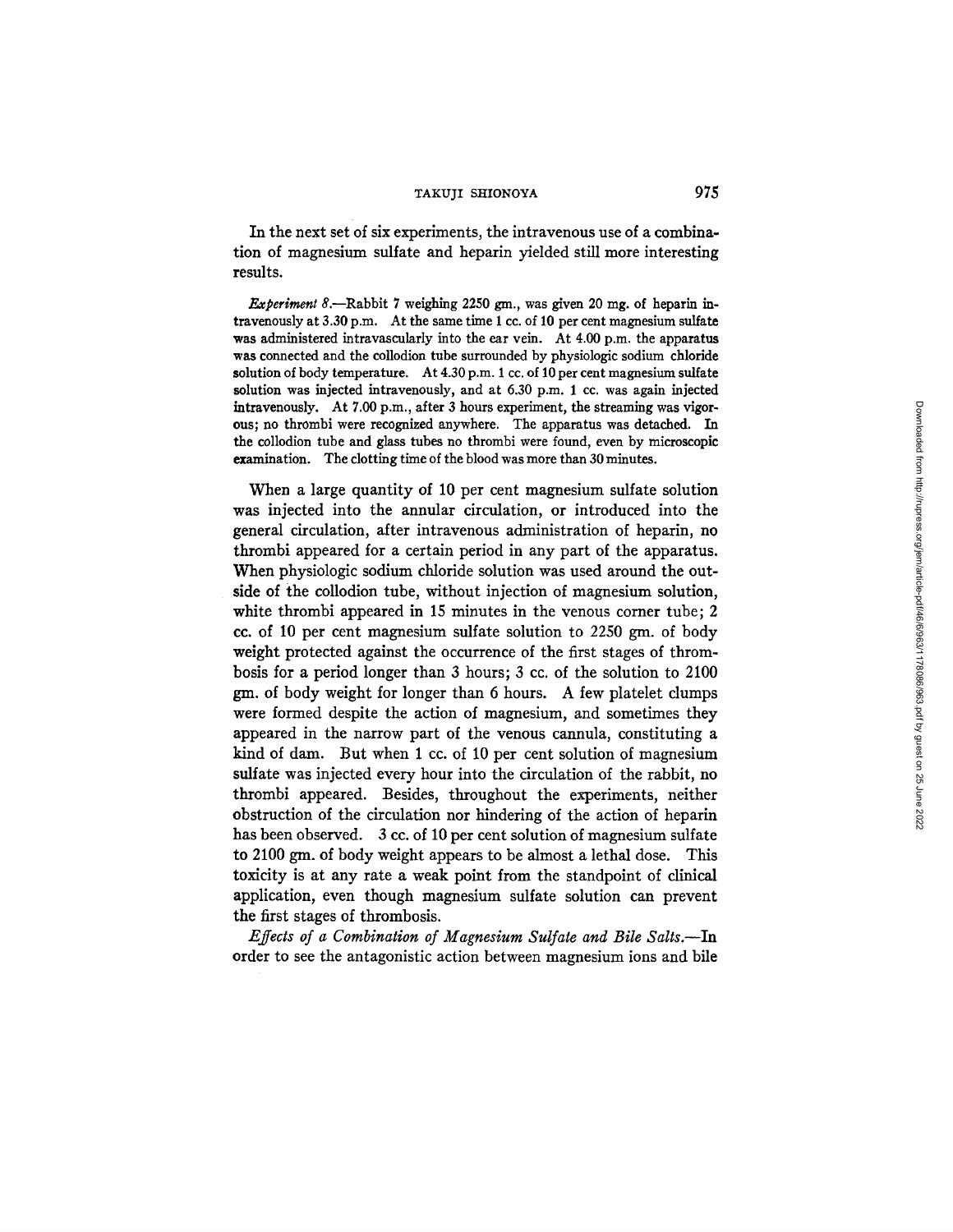In the next set of six experiments, the intravenous use of a combination of magnesium sulfate and heparin yielded still more interesting results.

*Experiment 8.*--Rabbit 7 weighing 2250 gm., was given 20 mg. of heparin intravenously at 3.30 p.m. At the same time 1 ec. of 10 per cent magnesium sulfate was administered intravascularly into the ear vein. At 4.00 p.m. the apparatus was connected and the collodion tube surrounded by physiologic sodium chloride solution of body temperature. At  $4.30$  p.m. 1 cc. of 10 per cent magnesium sulfate solution was injected intravenously, and at 6.30 p.m. 1 ce. was again injected intravenously. At 7.00 p.m., after 3 hours experiment, the streaming was vigorous; no thrombi were recognized anywhere. The apparatus was detached. In the collodion tube and glass tubes no thrombi were found, even by microscopic examination. The clotting time of the blood was more than 30 minutes.

When a large quantity of 10 per cent magnesium sulfate solution was injected into the annular circulation, or introduced into the general circulation, after intravenous administration of heparin, no thrombi appeared for a certain period in any part of the apparatus. When physiologic sodium chloride solution was used around the outside of the collodion tube, without injection of magnesium solution, white thrombi appeared in 15 minutes in the venous corner tube; 2 cc. of 10 per cent magnesium sulfate solution to 2250 gm. of body weight protected against the occurrence of the first stages of thrombosis for a period longer than 3 hours; 3 cc. of the solution to 2100 gm. of body weight for longer than 6 hours. A few platelet clumps were formed despite the action of magnesium, and sometimes they appeared in the narrow part of the venous cannula, constituting a kind of dam. But when 1 cc. of 10 per cent solution of magnesium sulfate was injected every hour into the circulation of the rabbit, no thrombi appeared. Besides, throughout the experiments, neither obstruction of the circulation nor hindering of the action of heparin has been observed. 3 cc. of 10 per cent solution of magnesium sulfate to 2100 gm. of body weight appears to be almost a lethal dose. This toxicity is at any rate a weak point from the standpoint of clinical application, even though magnesium sulfate solution can prevent the first stages of thrombosis.

*Effects of a Combination of Magnesium Sulfate and Bile Salts.*—In order to see the antagonistic action between magnesium ions and bile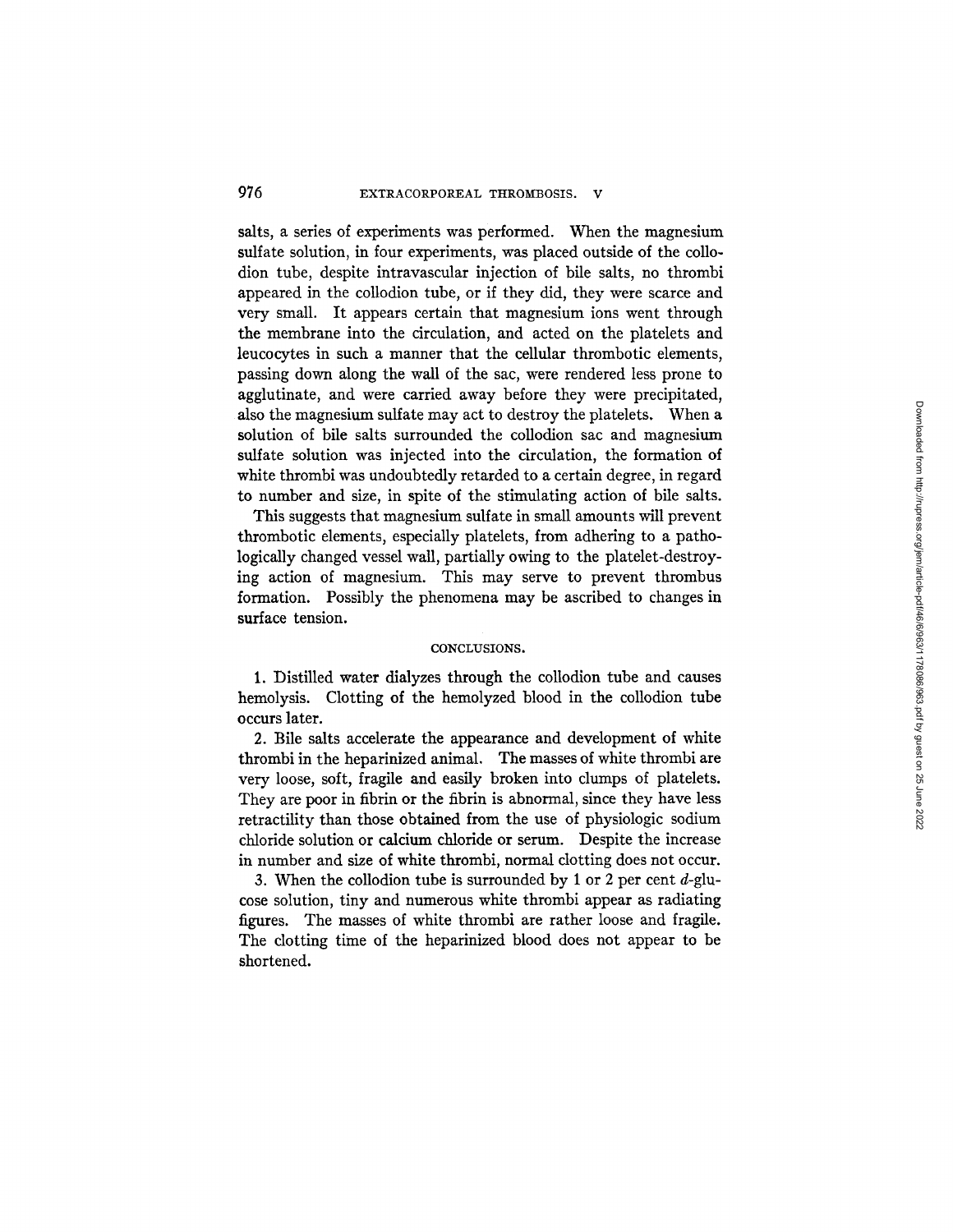salts, a series of experiments was performed. When the magnesium sulfate solution, in four experiments, was placed outside of the collodion tube, despite intravascular injection of bile salts, no thrombi appeared in the collodion tube, or if they did, they were scarce and very small. It appears certain that magnesium ions went through the membrane into the circulation, and acted on the platelets and leucocytes in such a manner that the cellular thrombotic elements, passing down along the wall of the sac, were rendered less prone to agglutinate, and were carried away before they were precipitated, also the magnesium sulfate may act to destroy the platelets. When a solution of bile salts surrounded the collodion sac and magnesium sulfate solution was injected into the circulation, the formation of white thrombi was undoubtedly retarded to a certain degree, in regard to number and size, in spite of the stimulating action of bile salts.

This suggests that magnesium sulfate in small amounts will prevent thrombotic elements, especially platelets, from adhering to a pathologically changed vessel wall, partially owing to the platelet-destroying action of magnesium. This may serve to prevent thrombus formation. Possibly the phenomena may be ascribed to changes in surface tension.

#### CONCLUSIONS.

1. Distilled water dialyzes through the collodion tube and causes hemolysis. Clotting of the hemolyzed blood in the collodion tube occurs later.

2. Bile salts accelerate the appearance and development of white thrombi in the heparinized animal. The masses of white thrombi are very loose, soft, fragile and easily broken into clumps of platelets. They are poor in fibrin or the fibrin is abnormal, since they have less retractility than those obtained from the use of physiologic sodium chloride solution or calcium chloride or serum. Despite the increase in number and size of white thrombi, normal clotting does not occur.

3. When the collodion tube is surrounded by 1 or 2 per cent  $d$ -glucose solution, tiny and numerous white thrombi appear as radiating figures. The masses of white thrombi are rather loose and fragile. The clotting time of the heparinized blood does not appear to be shortened.